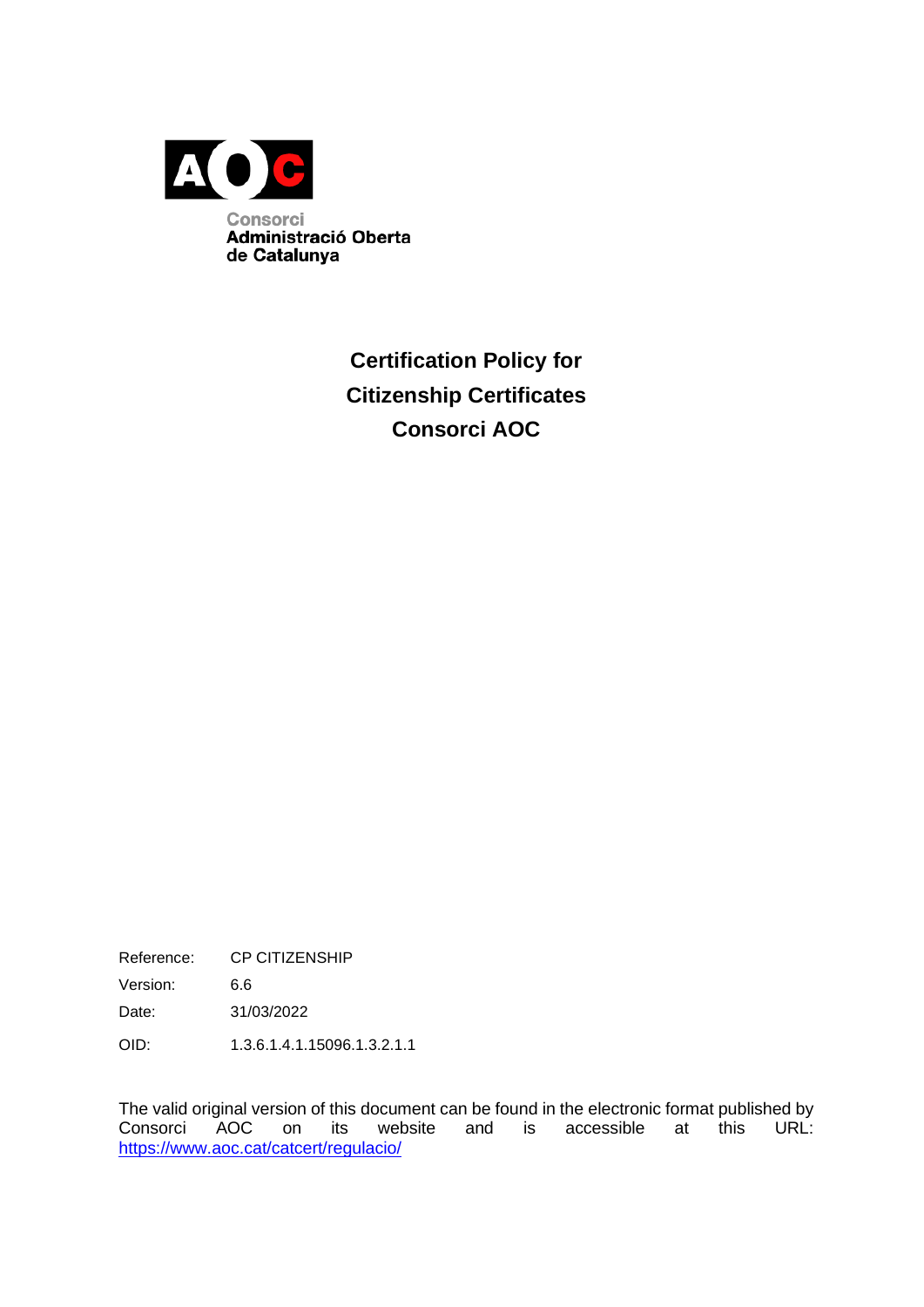

**Certification Policy for Citizenship Certificates Consorci AOC**

Reference: CP CITIZENSHIP

Version: 6.6

Date: 31/03/2022

OID: 1.3.6.1.4.1.15096.1.3.2.1.1

The valid original version of this document can be found in the electronic format published by Consorci AOC on its website and is accessible at this URL: <https://www.aoc.cat/catcert/regulacio/>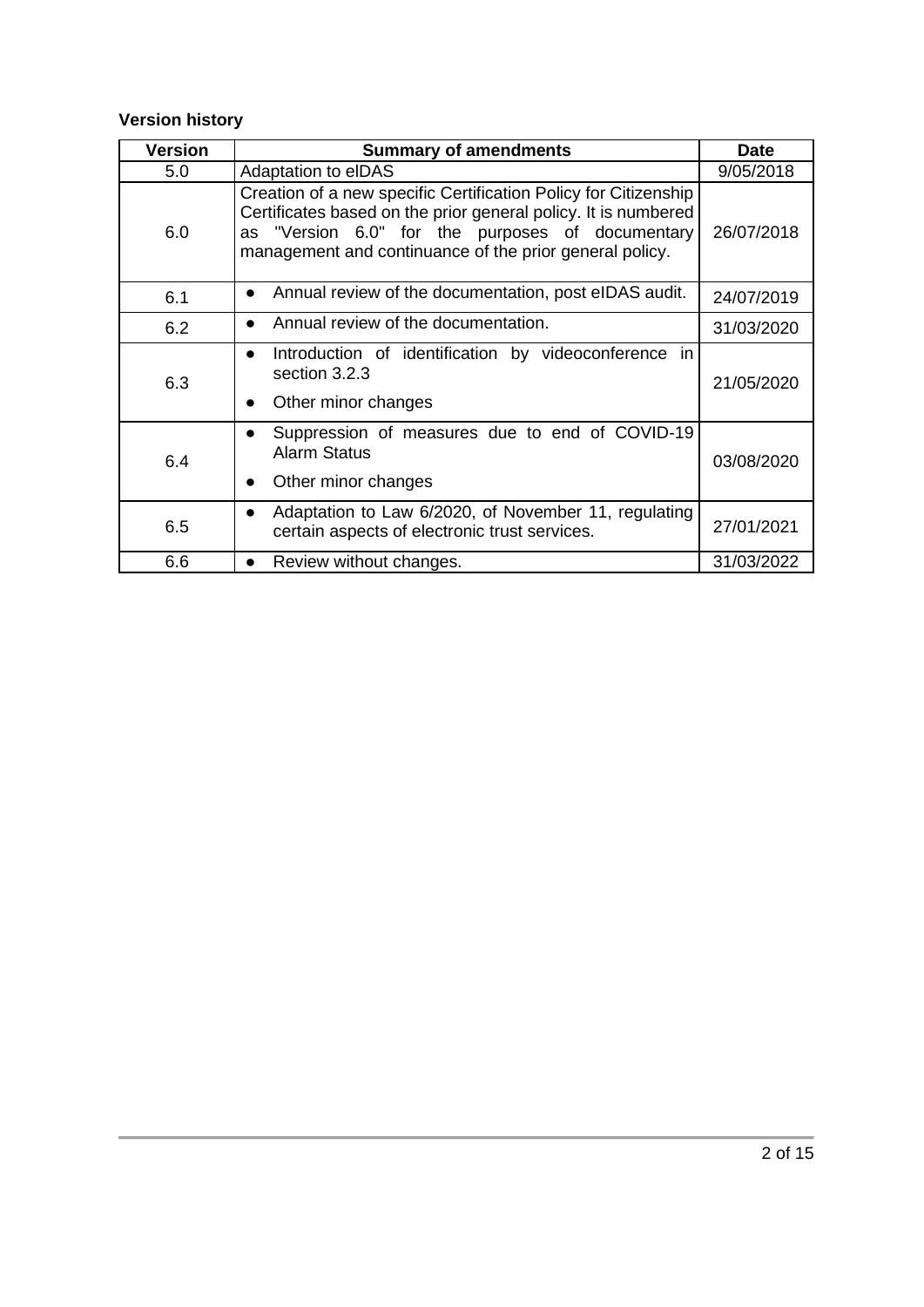#### **Version history**

| <b>Version</b> | <b>Summary of amendments</b>                                                                                                                                                                                                                     | <b>Date</b> |
|----------------|--------------------------------------------------------------------------------------------------------------------------------------------------------------------------------------------------------------------------------------------------|-------------|
| 5.0            | <b>Adaptation to elDAS</b>                                                                                                                                                                                                                       | 9/05/2018   |
| 6.0            | Creation of a new specific Certification Policy for Citizenship<br>Certificates based on the prior general policy. It is numbered<br>as "Version 6.0" for the purposes of documentary<br>management and continuance of the prior general policy. | 26/07/2018  |
| 6.1            | Annual review of the documentation, post eIDAS audit.<br>$\bullet$                                                                                                                                                                               | 24/07/2019  |
| 6.2            | Annual review of the documentation.                                                                                                                                                                                                              | 31/03/2020  |
| 6.3            | Introduction of identification by videoconference in<br>$\bullet$<br>section 3.2.3<br>Other minor changes<br>$\bullet$                                                                                                                           | 21/05/2020  |
| 6.4            | Suppression of measures due to end of COVID-19<br>$\bullet$<br>Alarm Status<br>Other minor changes                                                                                                                                               | 03/08/2020  |
| 6.5            | Adaptation to Law 6/2020, of November 11, regulating<br>$\bullet$<br>certain aspects of electronic trust services.                                                                                                                               | 27/01/2021  |
| 6.6            | Review without changes.                                                                                                                                                                                                                          | 31/03/2022  |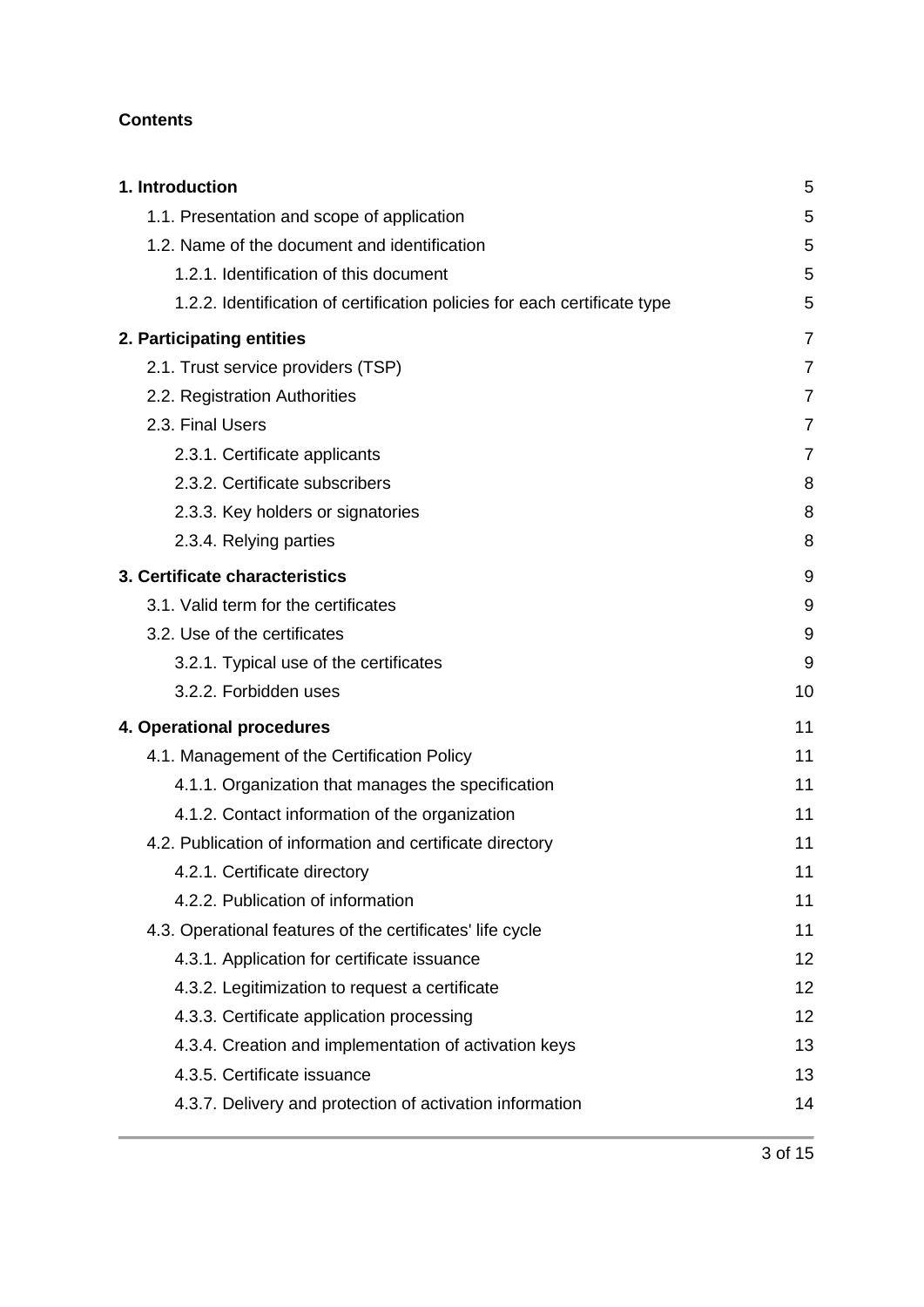#### **Contents**

| 1. Introduction                                                           | 5              |
|---------------------------------------------------------------------------|----------------|
| 1.1. Presentation and scope of application                                | 5              |
| 1.2. Name of the document and identification                              | 5              |
| 1.2.1. Identification of this document                                    | 5              |
| 1.2.2. Identification of certification policies for each certificate type | 5              |
| 2. Participating entities                                                 | $\overline{7}$ |
| 2.1. Trust service providers (TSP)                                        | 7              |
| 2.2. Registration Authorities                                             | 7              |
| 2.3. Final Users                                                          | 7              |
| 2.3.1. Certificate applicants                                             | 7              |
| 2.3.2. Certificate subscribers                                            | 8              |
| 2.3.3. Key holders or signatories                                         | 8              |
| 2.3.4. Relying parties                                                    | 8              |
| 3. Certificate characteristics                                            | 9              |
| 3.1. Valid term for the certificates                                      | 9              |
| 3.2. Use of the certificates                                              | 9              |
| 3.2.1. Typical use of the certificates                                    | 9              |
| 3.2.2. Forbidden uses                                                     | 10             |
| 4. Operational procedures                                                 | 11             |
| 4.1. Management of the Certification Policy                               | 11             |
| 4.1.1. Organization that manages the specification                        | 11             |
| 4.1.2. Contact information of the organization                            | 11             |
| 4.2. Publication of information and certificate directory                 | 11             |
| 4.2.1. Certificate directory                                              | 11             |
| 4.2.2. Publication of information                                         | 11             |
| 4.3. Operational features of the certificates' life cycle                 | 11             |
| 4.3.1. Application for certificate issuance                               | 12             |
| 4.3.2. Legitimization to request a certificate                            | 12             |
| 4.3.3. Certificate application processing                                 | 12             |
| 4.3.4. Creation and implementation of activation keys                     | 13             |
| 4.3.5. Certificate issuance                                               | 13             |
| 4.3.7. Delivery and protection of activation information                  | 14             |
|                                                                           |                |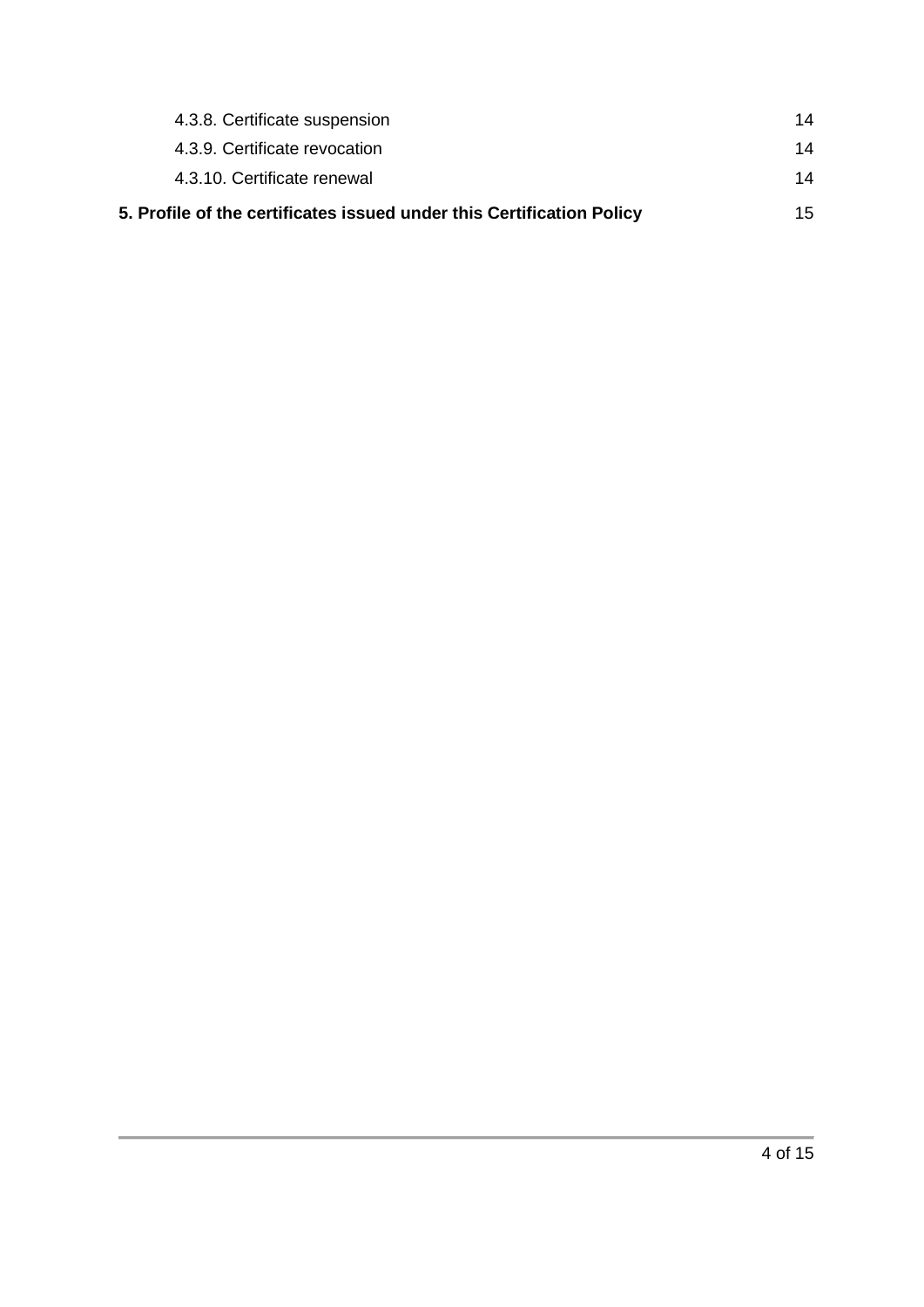| 5. Profile of the certificates issued under this Certification Policy | 15. |
|-----------------------------------------------------------------------|-----|
| 4.3.10. Certificate renewal                                           | 14  |
| 4.3.9. Certificate revocation                                         | 14  |
| 4.3.8. Certificate suspension                                         | 14  |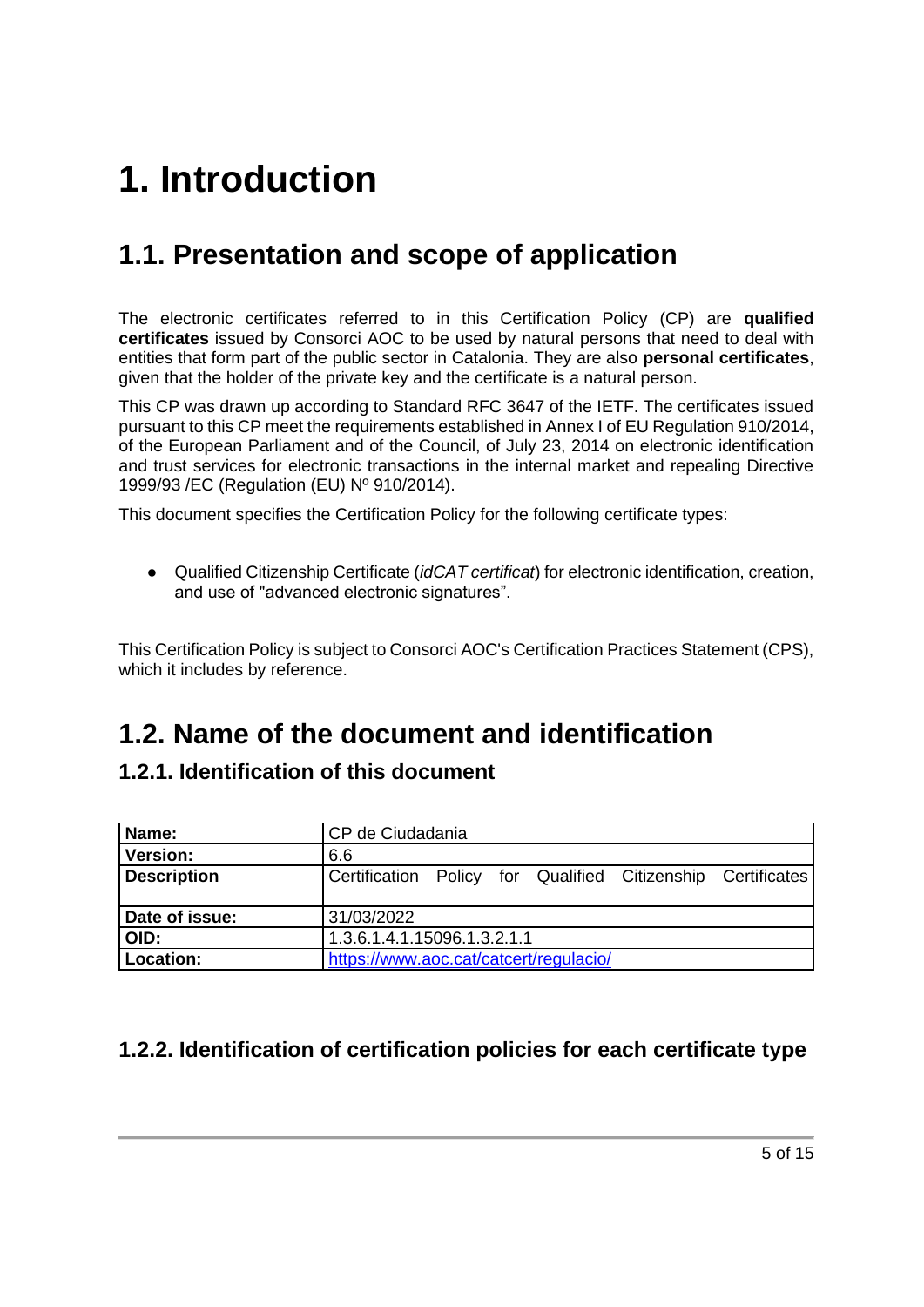# <span id="page-4-0"></span>**1. Introduction**

## <span id="page-4-1"></span>**1.1. Presentation and scope of application**

The electronic certificates referred to in this Certification Policy (CP) are **qualified certificates** issued by Consorci AOC to be used by natural persons that need to deal with entities that form part of the public sector in Catalonia. They are also **personal certificates**, given that the holder of the private key and the certificate is a natural person.

This CP was drawn up according to Standard RFC 3647 of the IETF. The certificates issued pursuant to this CP meet the requirements established in Annex I of EU Regulation 910/2014, of the European Parliament and of the Council, of July 23, 2014 on electronic identification and trust services for electronic transactions in the internal market and repealing Directive 1999/93 /EC (Regulation (EU) Nº 910/2014).

This document specifies the Certification Policy for the following certificate types:

● Qualified Citizenship Certificate (*idCAT certificat*) for electronic identification, creation, and use of "advanced electronic signatures".

This Certification Policy is subject to Consorci AOC's Certification Practices Statement (CPS), which it includes by reference.

### <span id="page-4-2"></span>**1.2. Name of the document and identification**

### <span id="page-4-3"></span>**1.2.1. Identification of this document**

| Name:              | CP de Ciudadania                                            |  |  |  |
|--------------------|-------------------------------------------------------------|--|--|--|
| <b>Version:</b>    | 6.6                                                         |  |  |  |
| <b>Description</b> | Certification Policy for Qualified Citizenship Certificates |  |  |  |
|                    |                                                             |  |  |  |
| Date of issue:     | 31/03/2022                                                  |  |  |  |
| OID:               | 1.3.6.1.4.1.15096.1.3.2.1.1                                 |  |  |  |
| Location:          | https://www.aoc.cat/catcert/regulacio/                      |  |  |  |

### <span id="page-4-4"></span>**1.2.2. Identification of certification policies for each certificate type**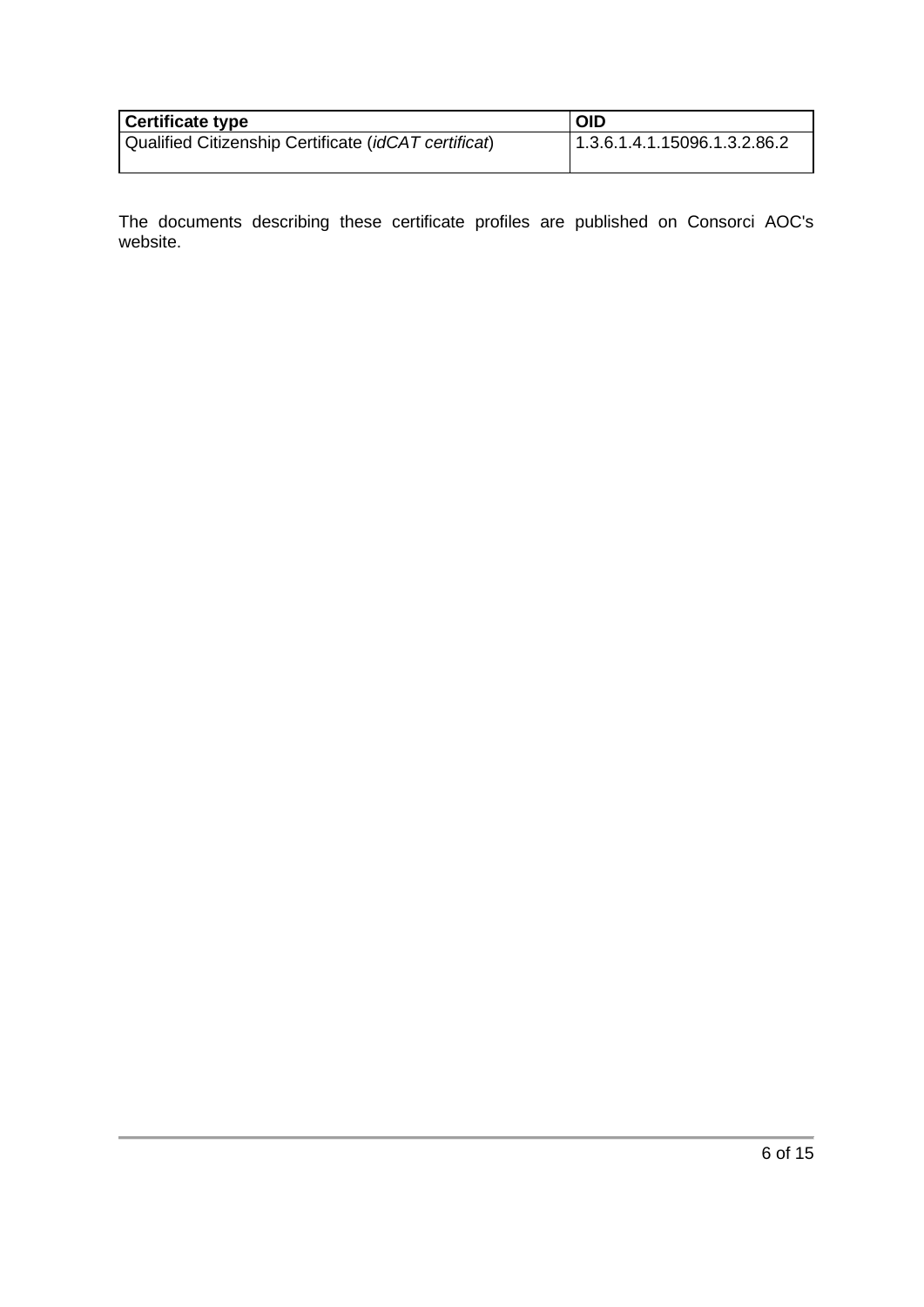| <b>Certificate type</b>                              | <b>OID</b>                   |
|------------------------------------------------------|------------------------------|
| Qualified Citizenship Certificate (idCAT certificat) | 1.3.6.1.4.1.15096.1.3.2.86.2 |

The documents describing these certificate profiles are published on Consorci AOC's website.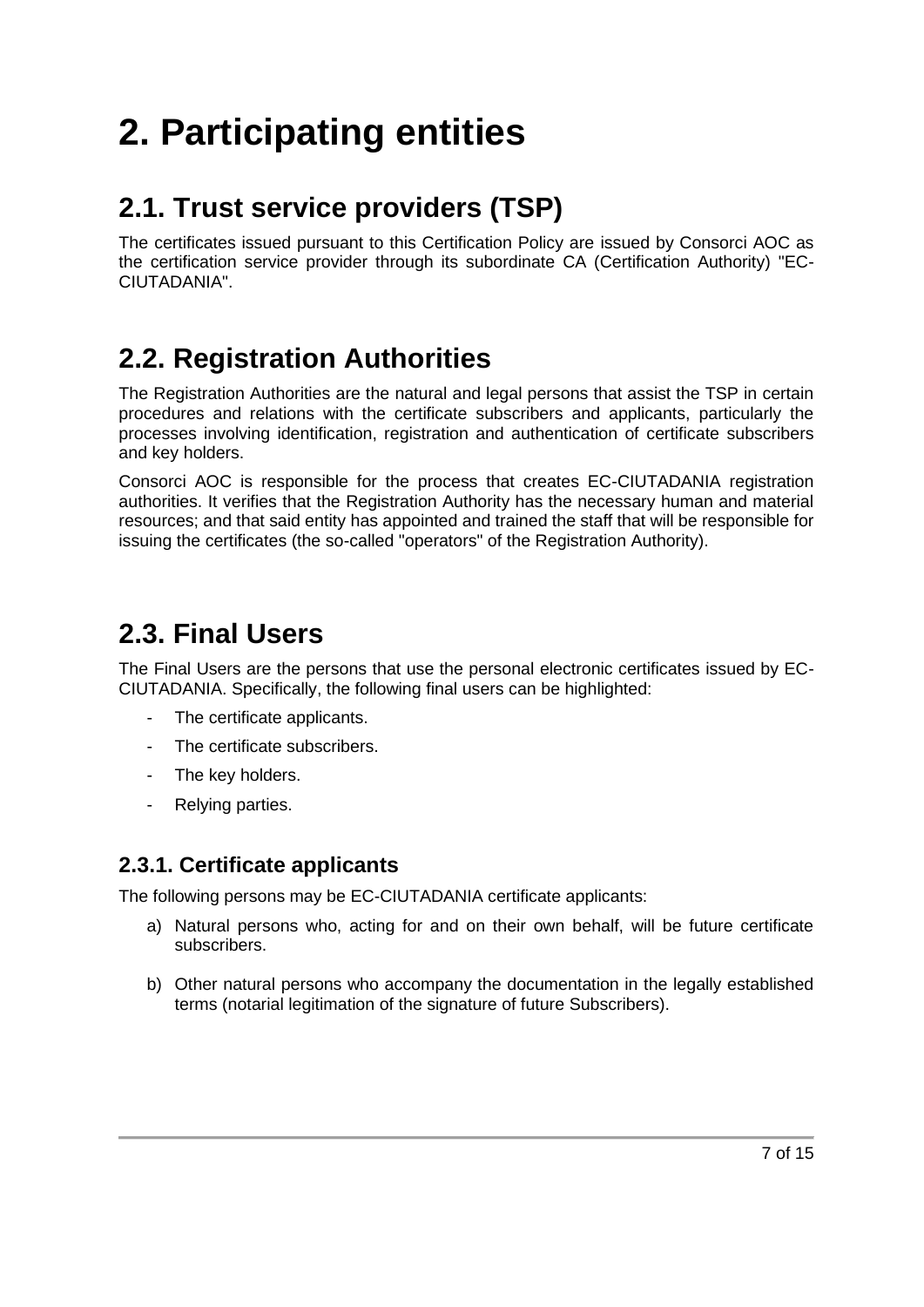# <span id="page-6-0"></span>**2. Participating entities**

## <span id="page-6-1"></span>**2.1. Trust service providers (TSP)**

The certificates issued pursuant to this Certification Policy are issued by Consorci AOC as the certification service provider through its subordinate CA (Certification Authority) "EC-CIUTADANIA".

## <span id="page-6-2"></span>**2.2. Registration Authorities**

The Registration Authorities are the natural and legal persons that assist the TSP in certain procedures and relations with the certificate subscribers and applicants, particularly the processes involving identification, registration and authentication of certificate subscribers and key holders.

Consorci AOC is responsible for the process that creates EC-CIUTADANIA registration authorities. It verifies that the Registration Authority has the necessary human and material resources; and that said entity has appointed and trained the staff that will be responsible for issuing the certificates (the so-called "operators" of the Registration Authority).

### <span id="page-6-3"></span>**2.3. Final Users**

The Final Users are the persons that use the personal electronic certificates issued by EC-CIUTADANIA. Specifically, the following final users can be highlighted:

- The certificate applicants.
- The certificate subscribers.
- The key holders.
- Relying parties.

### <span id="page-6-4"></span>**2.3.1. Certificate applicants**

The following persons may be EC-CIUTADANIA certificate applicants:

- a) Natural persons who, acting for and on their own behalf, will be future certificate subscribers.
- b) Other natural persons who accompany the documentation in the legally established terms (notarial legitimation of the signature of future Subscribers).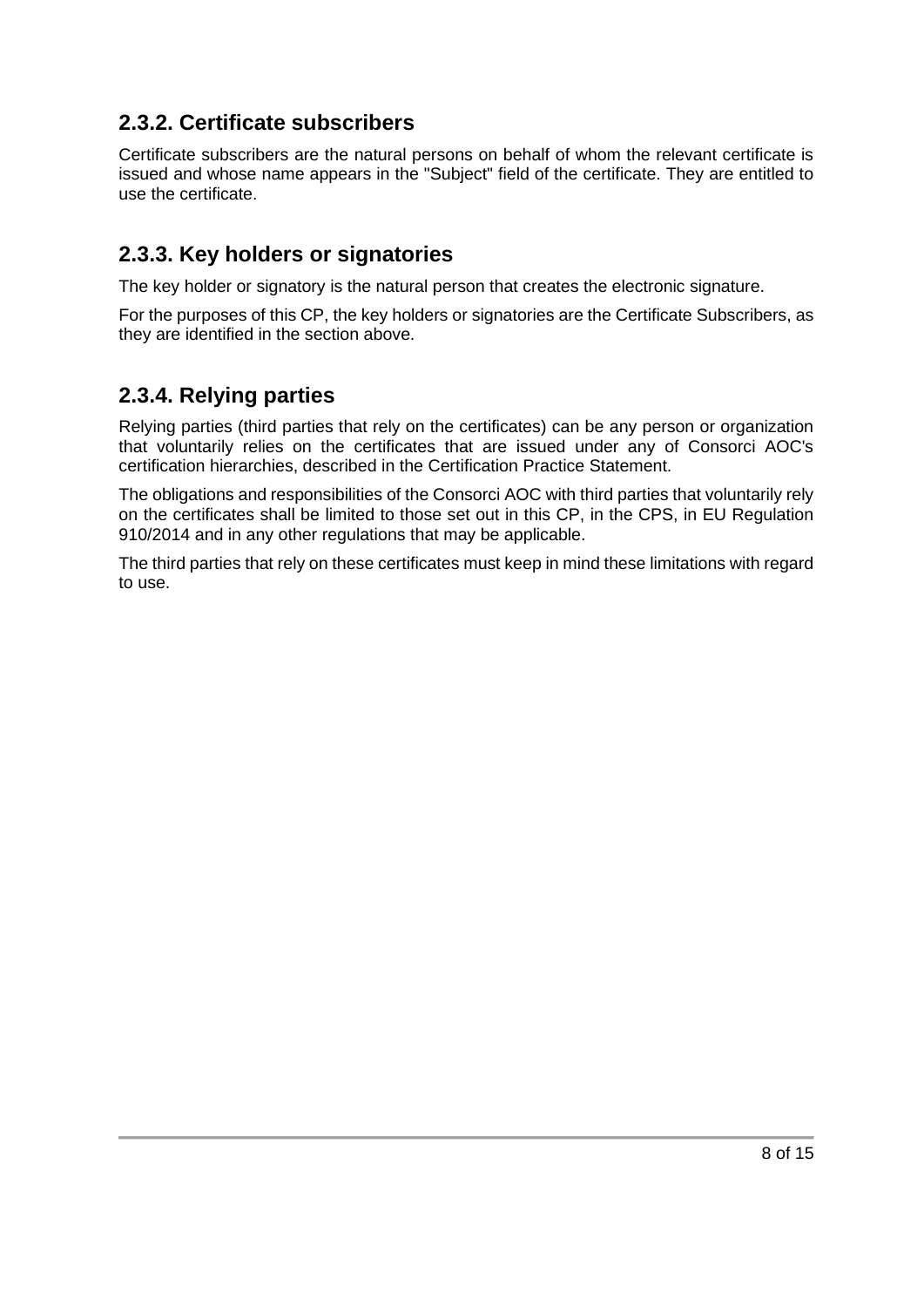### <span id="page-7-0"></span>**2.3.2. Certificate subscribers**

Certificate subscribers are the natural persons on behalf of whom the relevant certificate is issued and whose name appears in the "Subject" field of the certificate. They are entitled to use the certificate.

### <span id="page-7-1"></span>**2.3.3. Key holders or signatories**

The key holder or signatory is the natural person that creates the electronic signature.

For the purposes of this CP, the key holders or signatories are the Certificate Subscribers, as they are identified in the section above.

### <span id="page-7-2"></span>**2.3.4. Relying parties**

Relying parties (third parties that rely on the certificates) can be any person or organization that voluntarily relies on the certificates that are issued under any of Consorci AOC's certification hierarchies, described in the Certification Practice Statement.

The obligations and responsibilities of the Consorci AOC with third parties that voluntarily rely on the certificates shall be limited to those set out in this CP, in the CPS, in EU Regulation 910/2014 and in any other regulations that may be applicable.

The third parties that rely on these certificates must keep in mind these limitations with regard to use.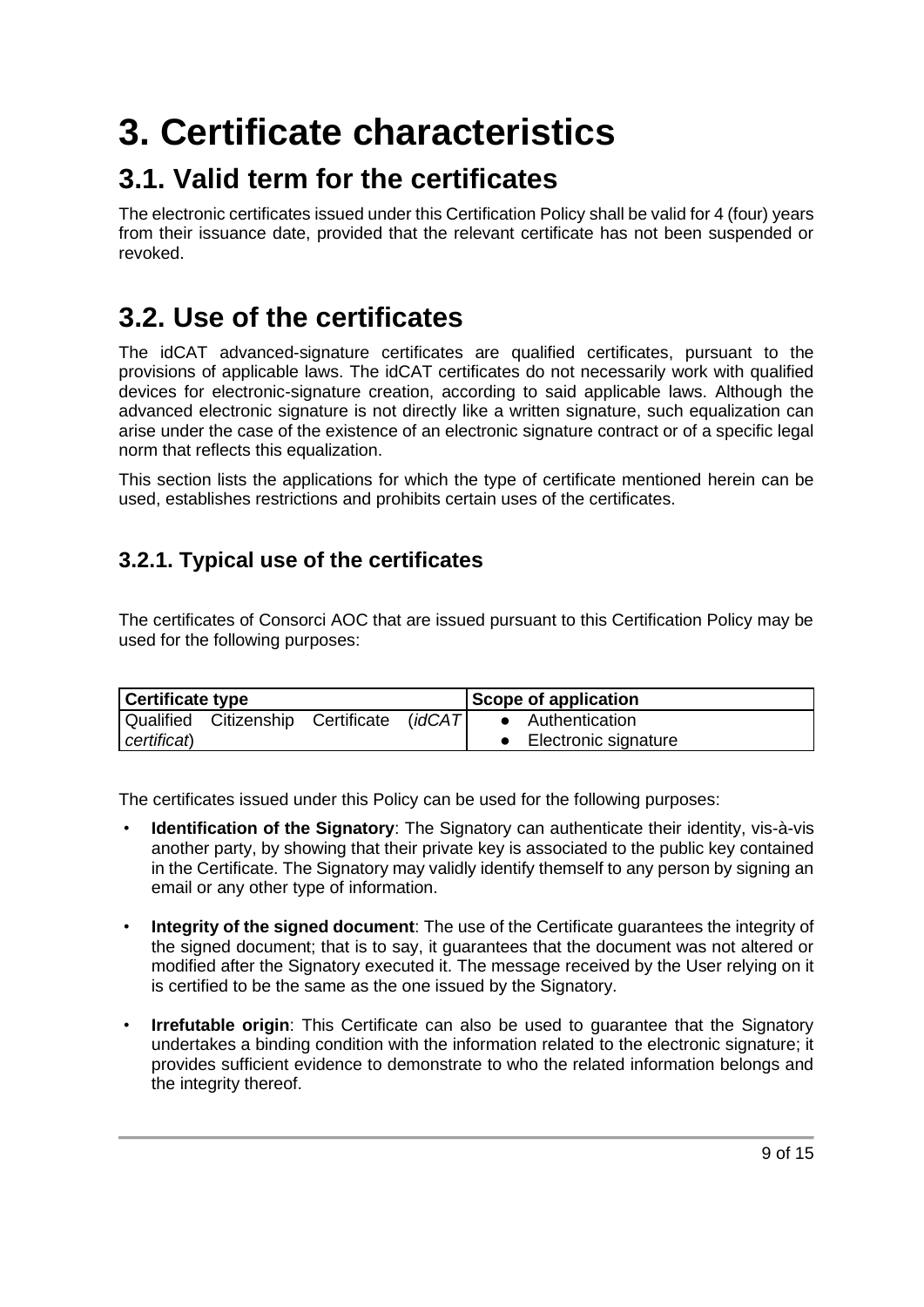# <span id="page-8-0"></span>**3. Certificate characteristics**

### <span id="page-8-1"></span>**3.1. Valid term for the certificates**

The electronic certificates issued under this Certification Policy shall be valid for 4 (four) years from their issuance date, provided that the relevant certificate has not been suspended or revoked.

### <span id="page-8-2"></span>**3.2. Use of the certificates**

The idCAT advanced-signature certificates are qualified certificates, pursuant to the provisions of applicable laws. The idCAT certificates do not necessarily work with qualified devices for electronic-signature creation, according to said applicable laws. Although the advanced electronic signature is not directly like a written signature, such equalization can arise under the case of the existence of an electronic signature contract or of a specific legal norm that reflects this equalization.

This section lists the applications for which the type of certificate mentioned herein can be used, establishes restrictions and prohibits certain uses of the certificates.

### <span id="page-8-3"></span>**3.2.1. Typical use of the certificates**

The certificates of Consorci AOC that are issued pursuant to this Certification Policy may be used for the following purposes:

| <b>Certificate type</b> |                                           |  | Scope of application |  |                      |
|-------------------------|-------------------------------------------|--|----------------------|--|----------------------|
|                         | Qualified Citizenship Certificate (idCAT) |  |                      |  | • Authentication     |
| certificat)             |                                           |  |                      |  | Electronic signature |

The certificates issued under this Policy can be used for the following purposes:

- **Identification of the Signatory**: The Signatory can authenticate their identity, vis-à-vis another party, by showing that their private key is associated to the public key contained in the Certificate. The Signatory may validly identify themself to any person by signing an email or any other type of information.
- **Integrity of the signed document**: The use of the Certificate guarantees the integrity of the signed document; that is to say, it guarantees that the document was not altered or modified after the Signatory executed it. The message received by the User relying on it is certified to be the same as the one issued by the Signatory.
- **Irrefutable origin**: This Certificate can also be used to guarantee that the Signatory undertakes a binding condition with the information related to the electronic signature; it provides sufficient evidence to demonstrate to who the related information belongs and the integrity thereof.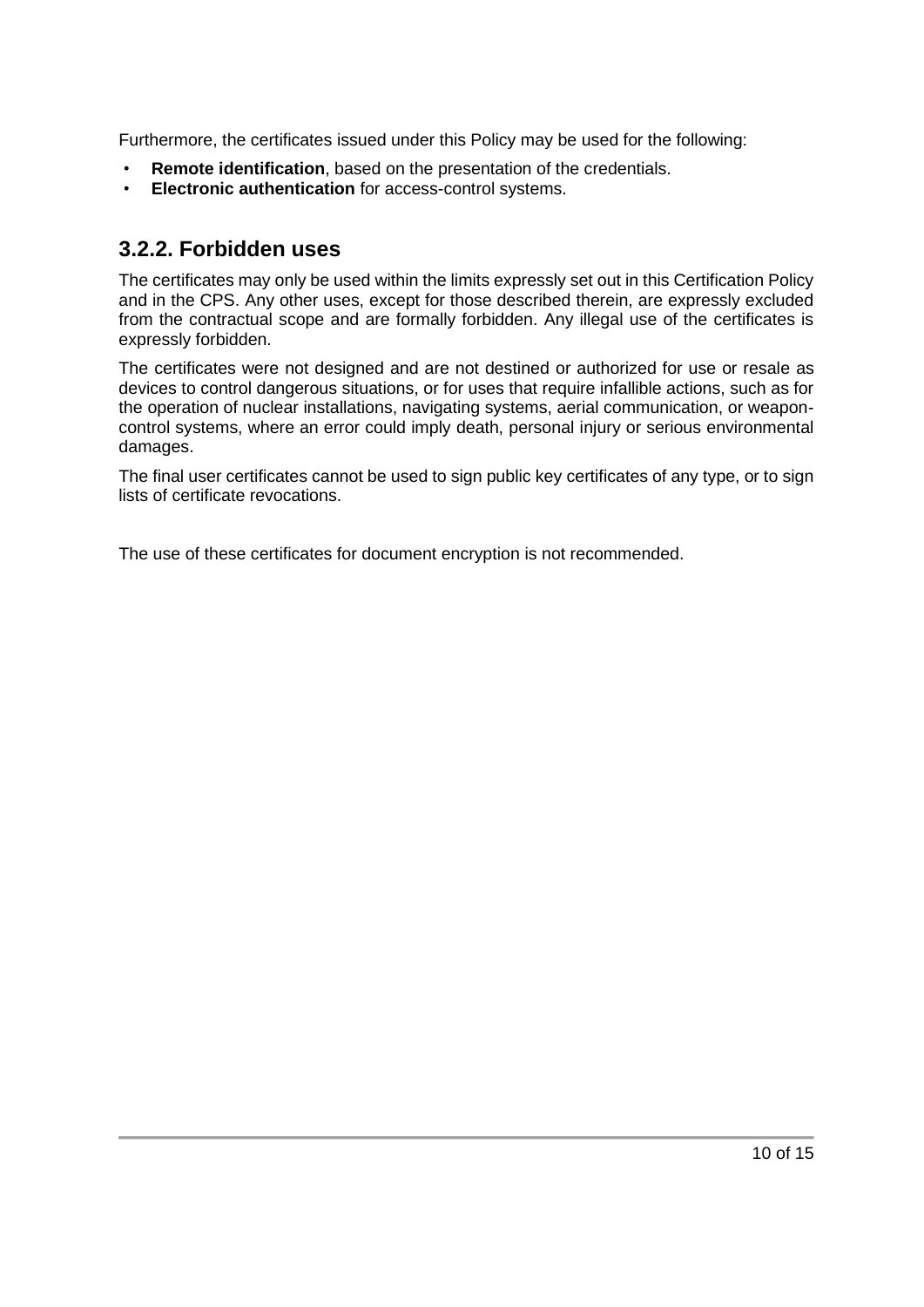Furthermore, the certificates issued under this Policy may be used for the following:

- **Remote identification**, based on the presentation of the credentials.
- **Electronic authentication** for access-control systems.

#### <span id="page-9-0"></span>**3.2.2. Forbidden uses**

The certificates may only be used within the limits expressly set out in this Certification Policy and in the CPS. Any other uses, except for those described therein, are expressly excluded from the contractual scope and are formally forbidden. Any illegal use of the certificates is expressly forbidden.

The certificates were not designed and are not destined or authorized for use or resale as devices to control dangerous situations, or for uses that require infallible actions, such as for the operation of nuclear installations, navigating systems, aerial communication, or weaponcontrol systems, where an error could imply death, personal injury or serious environmental damages.

The final user certificates cannot be used to sign public key certificates of any type, or to sign lists of certificate revocations.

The use of these certificates for document encryption is not recommended.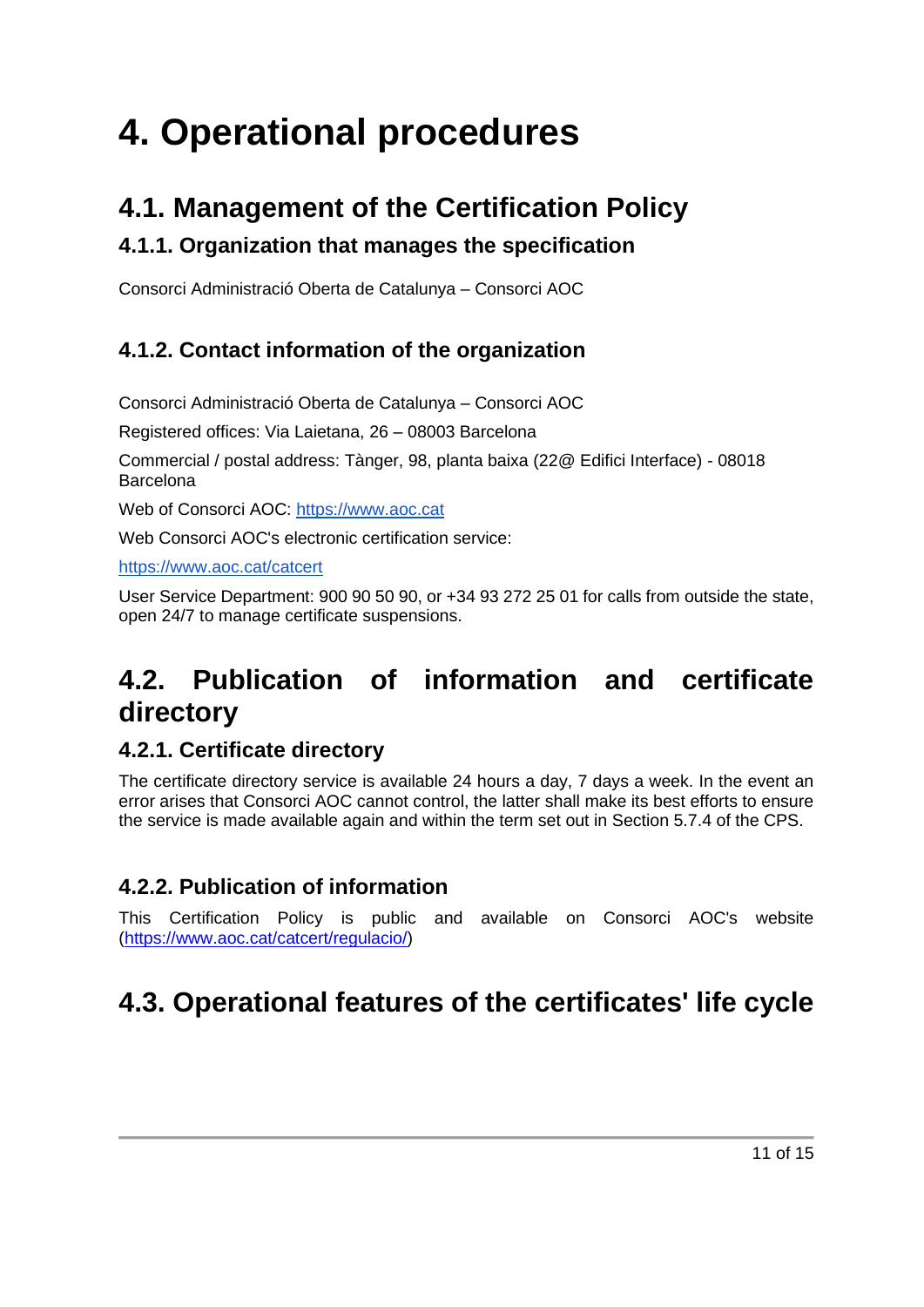# <span id="page-10-0"></span>**4. Operational procedures**

### <span id="page-10-1"></span>**4.1. Management of the Certification Policy**

### <span id="page-10-2"></span>**4.1.1. Organization that manages the specification**

Consorci Administració Oberta de Catalunya – Consorci AOC

### <span id="page-10-3"></span>**4.1.2. Contact information of the organization**

Consorci Administració Oberta de Catalunya – Consorci AOC

Registered offices: Via Laietana, 26 – 08003 Barcelona

Commercial / postal address: Tànger, 98, planta baixa (22@ Edifici Interface) - 08018 Barcelona

Web of Consorci AOC: https:/[/www.aoc.cat](https://www.aoc.cat/)

Web Consorci AOC's electronic certification service:

https:/[/www.aoc.cat/catcert](http://www.aoc.cat/catcert) 

User Service Department: 900 90 50 90, or +34 93 272 25 01 for calls from outside the state, open 24/7 to manage certificate suspensions.

## <span id="page-10-4"></span>**4.2. Publication of information and certificate directory**

### <span id="page-10-5"></span>**4.2.1. Certificate directory**

The certificate directory service is available 24 hours a day, 7 days a week. In the event an error arises that Consorci AOC cannot control, the latter shall make its best efforts to ensure the service is made available again and within the term set out in Section 5.7.4 of the CPS.

### <span id="page-10-6"></span>**4.2.2. Publication of information**

This Certification Policy is public and available on Consorci AOC's website [\(https://www.aoc.cat/catcert/regulacio/\)](https://www.aoc.cat/catcert/regulacio/)

## <span id="page-10-7"></span>**4.3. Operational features of the certificates' life cycle**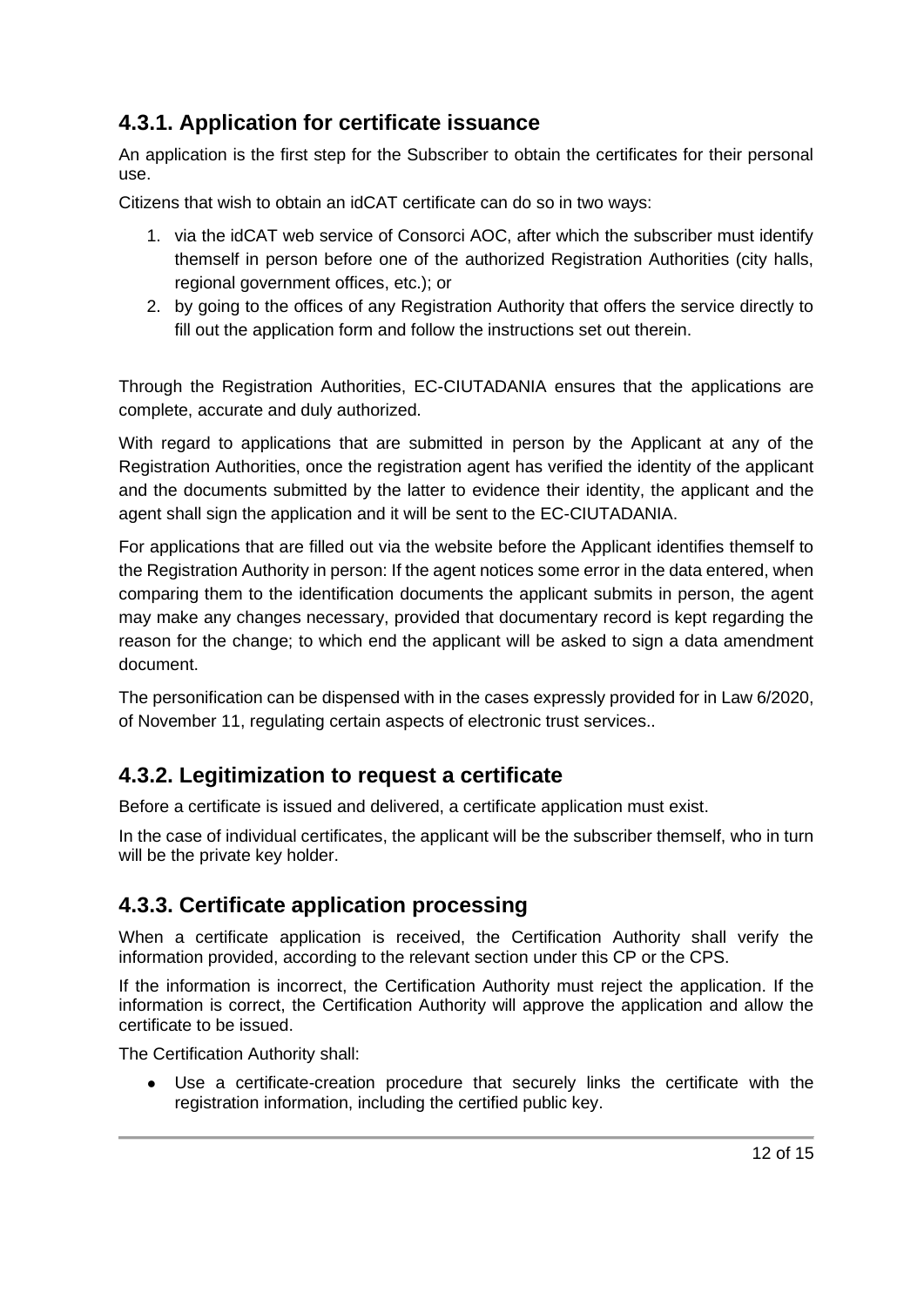### <span id="page-11-0"></span>**4.3.1. Application for certificate issuance**

An application is the first step for the Subscriber to obtain the certificates for their personal use.

Citizens that wish to obtain an idCAT certificate can do so in two ways:

- 1. via the idCAT web service of Consorci AOC, after which the subscriber must identify themself in person before one of the authorized Registration Authorities (city halls, regional government offices, etc.); or
- 2. by going to the offices of any Registration Authority that offers the service directly to fill out the application form and follow the instructions set out therein.

Through the Registration Authorities, EC-CIUTADANIA ensures that the applications are complete, accurate and duly authorized.

With regard to applications that are submitted in person by the Applicant at any of the Registration Authorities, once the registration agent has verified the identity of the applicant and the documents submitted by the latter to evidence their identity, the applicant and the agent shall sign the application and it will be sent to the EC-CIUTADANIA.

For applications that are filled out via the website before the Applicant identifies themself to the Registration Authority in person: If the agent notices some error in the data entered, when comparing them to the identification documents the applicant submits in person, the agent may make any changes necessary, provided that documentary record is kept regarding the reason for the change; to which end the applicant will be asked to sign a data amendment document.

The personification can be dispensed with in the cases expressly provided for in Law 6/2020, of November 11, regulating certain aspects of electronic trust services..

### <span id="page-11-1"></span>**4.3.2. Legitimization to request a certificate**

Before a certificate is issued and delivered, a certificate application must exist.

In the case of individual certificates, the applicant will be the subscriber themself, who in turn will be the private key holder.

### <span id="page-11-2"></span>**4.3.3. Certificate application processing**

When a certificate application is received, the Certification Authority shall verify the information provided, according to the relevant section under this CP or the CPS.

If the information is incorrect, the Certification Authority must reject the application. If the information is correct, the Certification Authority will approve the application and allow the certificate to be issued.

The Certification Authority shall:

● Use a certificate-creation procedure that securely links the certificate with the registration information, including the certified public key.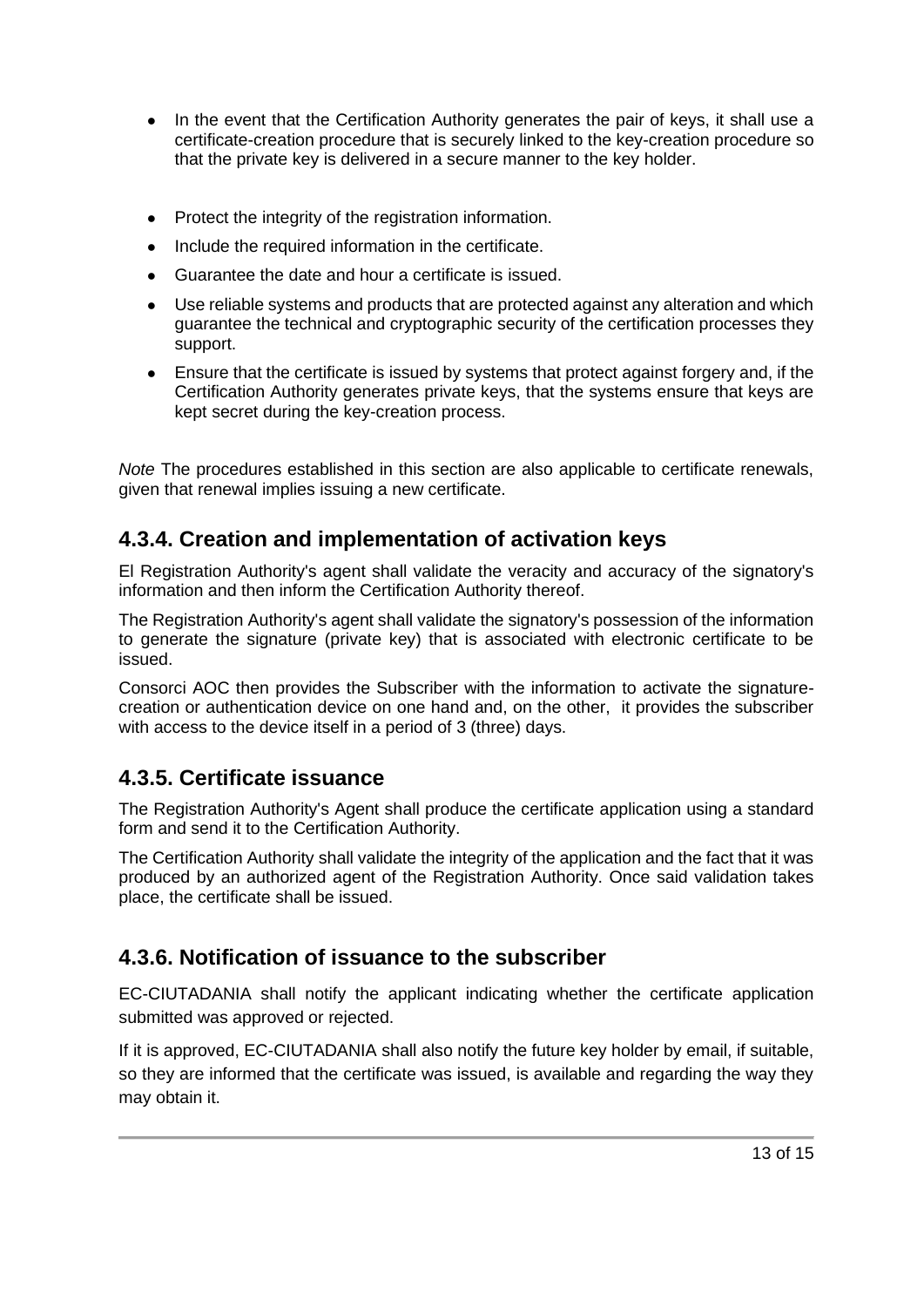- In the event that the Certification Authority generates the pair of keys, it shall use a certificate-creation procedure that is securely linked to the key-creation procedure so that the private key is delivered in a secure manner to the key holder.
- Protect the integrity of the registration information.
- Include the required information in the certificate.
- Guarantee the date and hour a certificate is issued.
- Use reliable systems and products that are protected against any alteration and which guarantee the technical and cryptographic security of the certification processes they support.
- Ensure that the certificate is issued by systems that protect against forgery and, if the Certification Authority generates private keys, that the systems ensure that keys are kept secret during the key-creation process.

*Note* The procedures established in this section are also applicable to certificate renewals, given that renewal implies issuing a new certificate.

### <span id="page-12-0"></span>**4.3.4. Creation and implementation of activation keys**

El Registration Authority's agent shall validate the veracity and accuracy of the signatory's information and then inform the Certification Authority thereof.

The Registration Authority's agent shall validate the signatory's possession of the information to generate the signature (private key) that is associated with electronic certificate to be issued.

Consorci AOC then provides the Subscriber with the information to activate the signaturecreation or authentication device on one hand and, on the other, it provides the subscriber with access to the device itself in a period of 3 (three) days.

### <span id="page-12-1"></span>**4.3.5. Certificate issuance**

The Registration Authority's Agent shall produce the certificate application using a standard form and send it to the Certification Authority.

The Certification Authority shall validate the integrity of the application and the fact that it was produced by an authorized agent of the Registration Authority. Once said validation takes place, the certificate shall be issued.

### **4.3.6. Notification of issuance to the subscriber**

EC-CIUTADANIA shall notify the applicant indicating whether the certificate application submitted was approved or rejected.

If it is approved, EC-CIUTADANIA shall also notify the future key holder by email, if suitable, so they are informed that the certificate was issued, is available and regarding the way they may obtain it.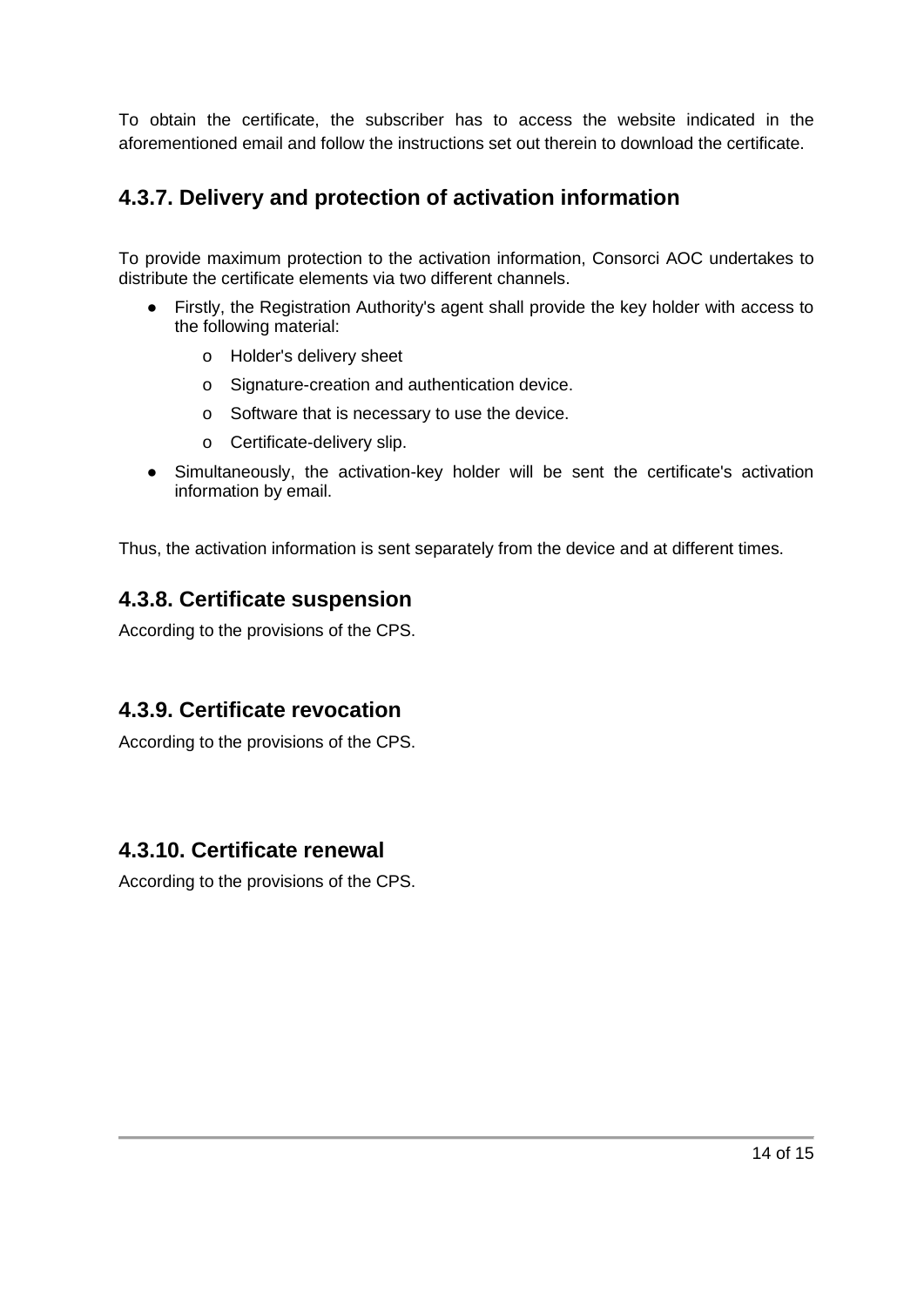To obtain the certificate, the subscriber has to access the website indicated in the aforementioned email and follow the instructions set out therein to download the certificate.

### <span id="page-13-0"></span>**4.3.7. Delivery and protection of activation information**

To provide maximum protection to the activation information, Consorci AOC undertakes to distribute the certificate elements via two different channels.

- Firstly, the Registration Authority's agent shall provide the key holder with access to the following material:
	- o Holder's delivery sheet
	- o Signature-creation and authentication device.
	- o Software that is necessary to use the device.
	- o Certificate-delivery slip.
- Simultaneously, the activation-key holder will be sent the certificate's activation information by email.

<span id="page-13-1"></span>Thus, the activation information is sent separately from the device and at different times.

### **4.3.8. Certificate suspension**

According to the provisions of the CPS.

#### <span id="page-13-2"></span>**4.3.9. Certificate revocation**

According to the provisions of the CPS.

#### <span id="page-13-3"></span>**4.3.10. Certificate renewal**

According to the provisions of the CPS.